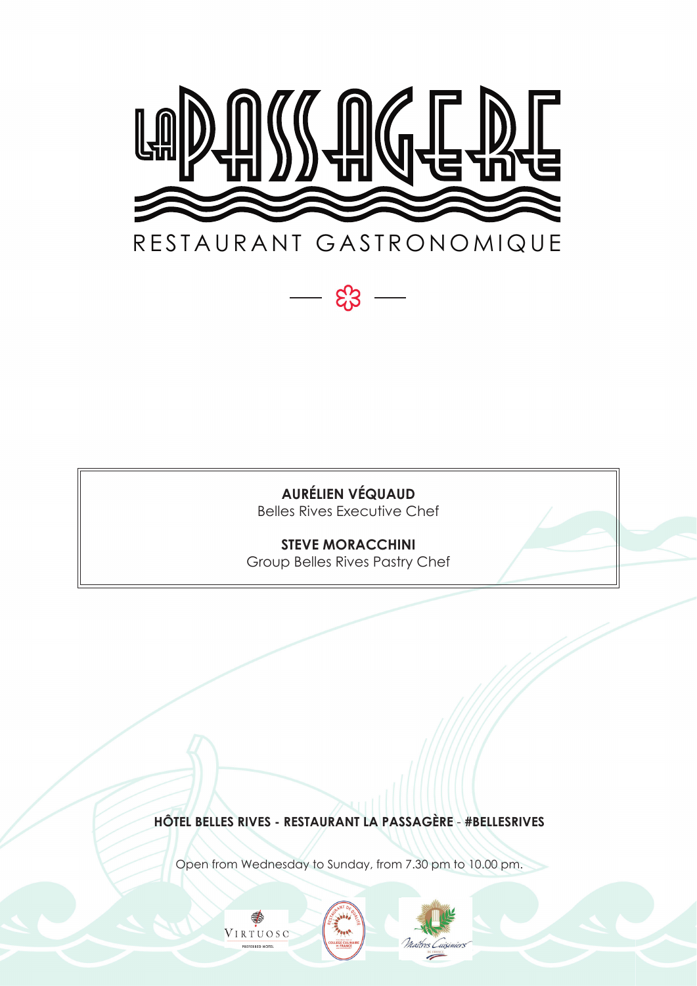

දි3

**AURÉLIEN VÉQUAUD** Belles Rives Executive Chef

**STEVE MORACCHINI** Group Belles Rives Pastry Chef

**HÔTEL BELLES RIVES - RESTAURANT LA PASSAGÈRE** - **#BELLESRIVES**

Open from Wednesday to Sunday, from 7.30 pm to 10.00 pm.

Maîtres Cuis

DE FRAN

VIRTUOSO

PREFERRED HOTEL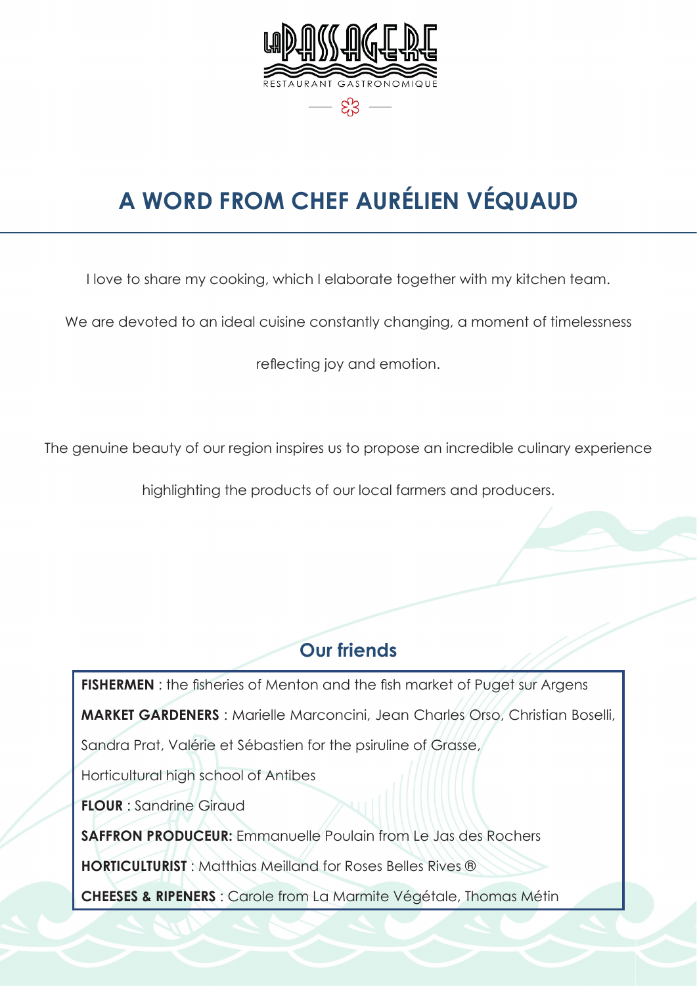

# **A WORD FROM CHEF AURÉLIEN VÉQUAUD**

I love to share my cooking, which I elaborate together with my kitchen team.

We are devoted to an ideal cuisine constantly changing, a moment of timelessness

reflecting joy and emotion.

The genuine beauty of our region inspires us to propose an incredible culinary experience

highlighting the products of our local farmers and producers.

#### **Our friends**

**FISHERMEN**: the fisheries of Menton and the fish market of Puget sur Argens **MARKET GARDENERS** : Marielle Marconcini, Jean Charles Orso, Christian Boselli, Sandra Prat, Valérie et Sébastien for the psiruline of Grasse, Horticultural high school of Antibes **FLOUR** : Sandrine Giraud **SAFFRON PRODUCEUR:** Emmanuelle Poulain from Le Jas des Rochers **HORTICULTURIST** : Matthias Meilland for Roses Belles Rives ®

**CHEESES & RIPENERS** : Carole from La Marmite Végétale, Thomas Métin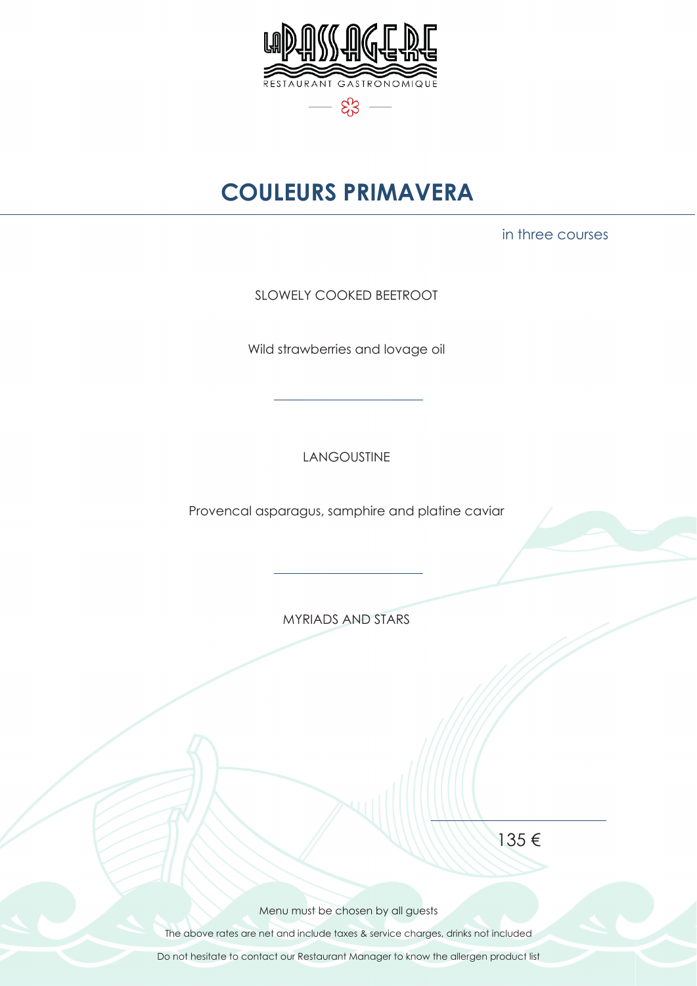

## **COULEURS PRIMAVERA**

in three courses

SLOWELY COOKED BEETROOT

Wild strawberries and lovage oil

LANGOUSTINE

Provencal asparagus, samphire and platine caviar

MYRIADS AND STARS

135 €

Menu must be chosen by all guests

The above rates are net and include taxes & service charges, drinks not included

Do not hesitate to contact our Restaurant Manager to know the allergen product list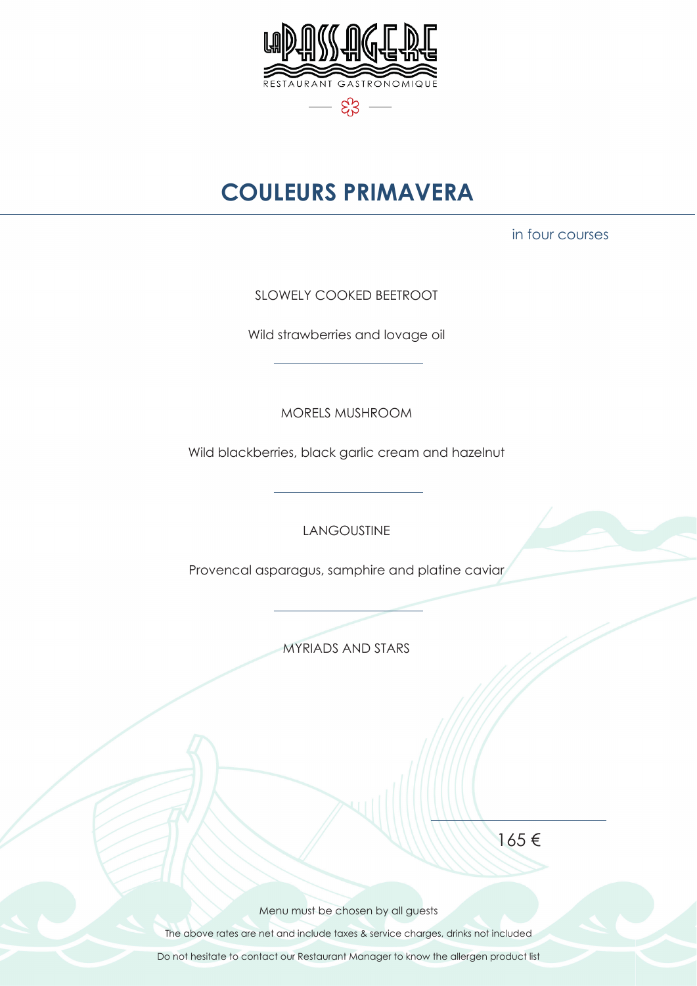

## **COULEURS PRIMAVERA**

in four courses

SLOWELY COOKED BEETROOT

Wild strawberries and lovage oil

MORELS MUSHROOM

Wild blackberries, black garlic cream and hazelnut

LANGOUSTINE

Provencal asparagus, samphire and platine caviar

MYRIADS AND STARS

165 €

Menu must be chosen by all guests

The above rates are net and include taxes & service charges, drinks not included

Do not hesitate to contact our Restaurant Manager to know the allergen product list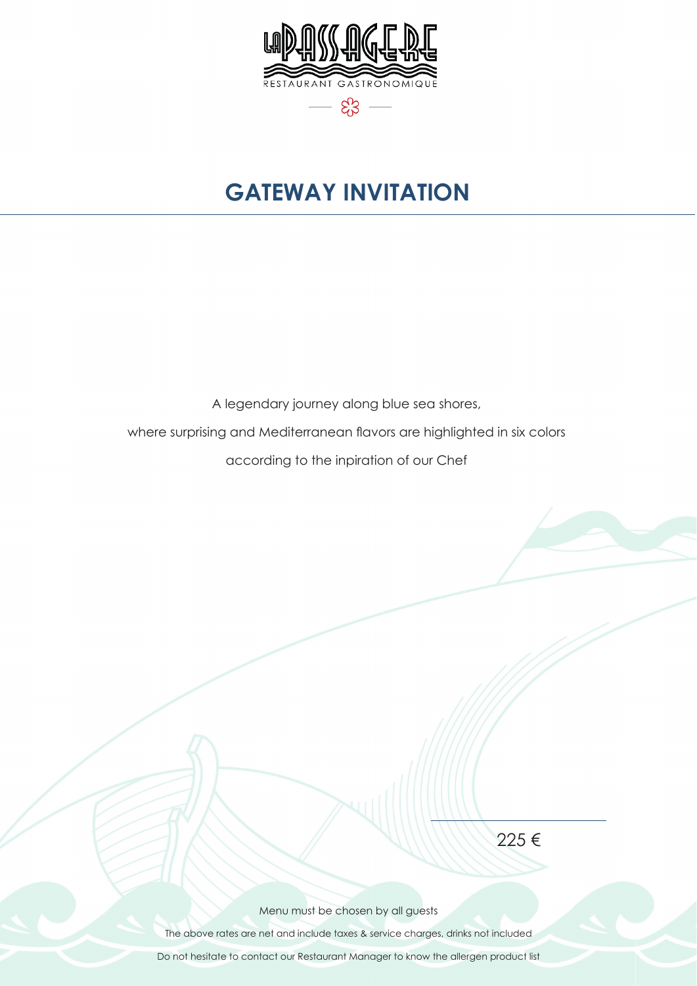

## **GATEWAY INVITATION**

A legendary journey along blue sea shores,

where surprising and Mediterranean flavors are highlighted in six colors

according to the inpiration of our Chef

225 €

Menu must be chosen by all guests

The above rates are net and include taxes & service charges, drinks not included

Do not hesitate to contact our Restaurant Manager to know the allergen product list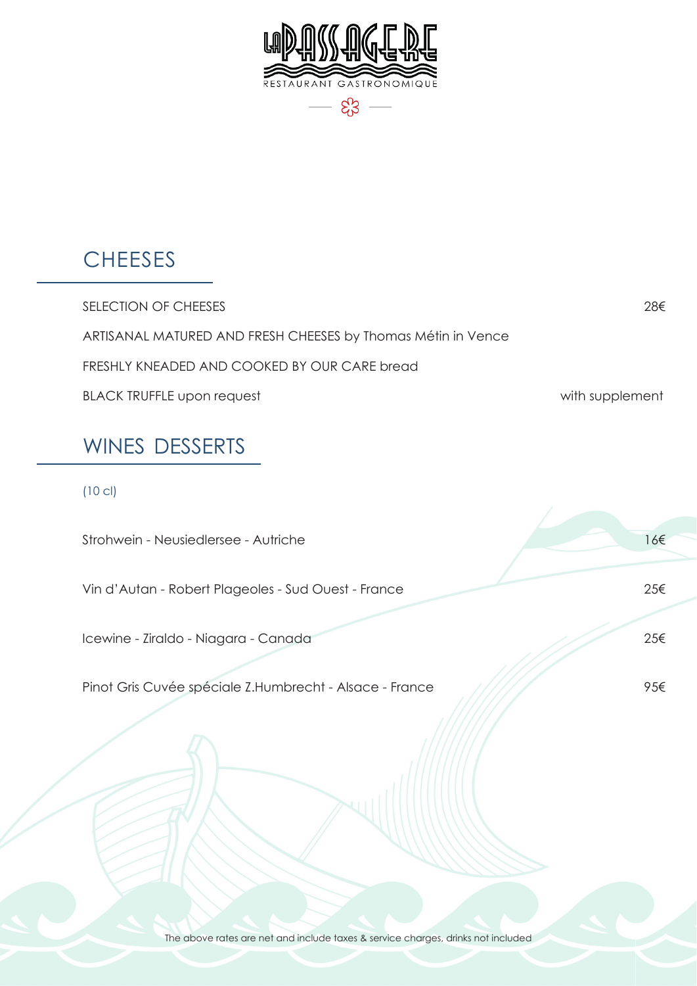

#### **CHEESES**

SELECTION OF CHEESES 28€ ARTISANAL MATURED AND FRESH CHEESES by Thomas Métin in Vence FRESHLY KNEADED AND COOKED BY OUR CARE bread BLACK TRUFFLE upon request and the state of the state with supplement

#### WINES DESSERTS

#### (10 cl)

| Strohwein - Neusiedlersee - Autriche                    | 16€ |
|---------------------------------------------------------|-----|
| Vin d'Autan - Robert Plageoles - Sud Ouest - France     | 25€ |
| Icewine - Ziraldo - Niagara - Canada                    | 25€ |
| Pinot Gris Cuvée spéciale Z.Humbrecht - Alsace - France | 95€ |

The above rates are net and include taxes & service charges, drinks not included